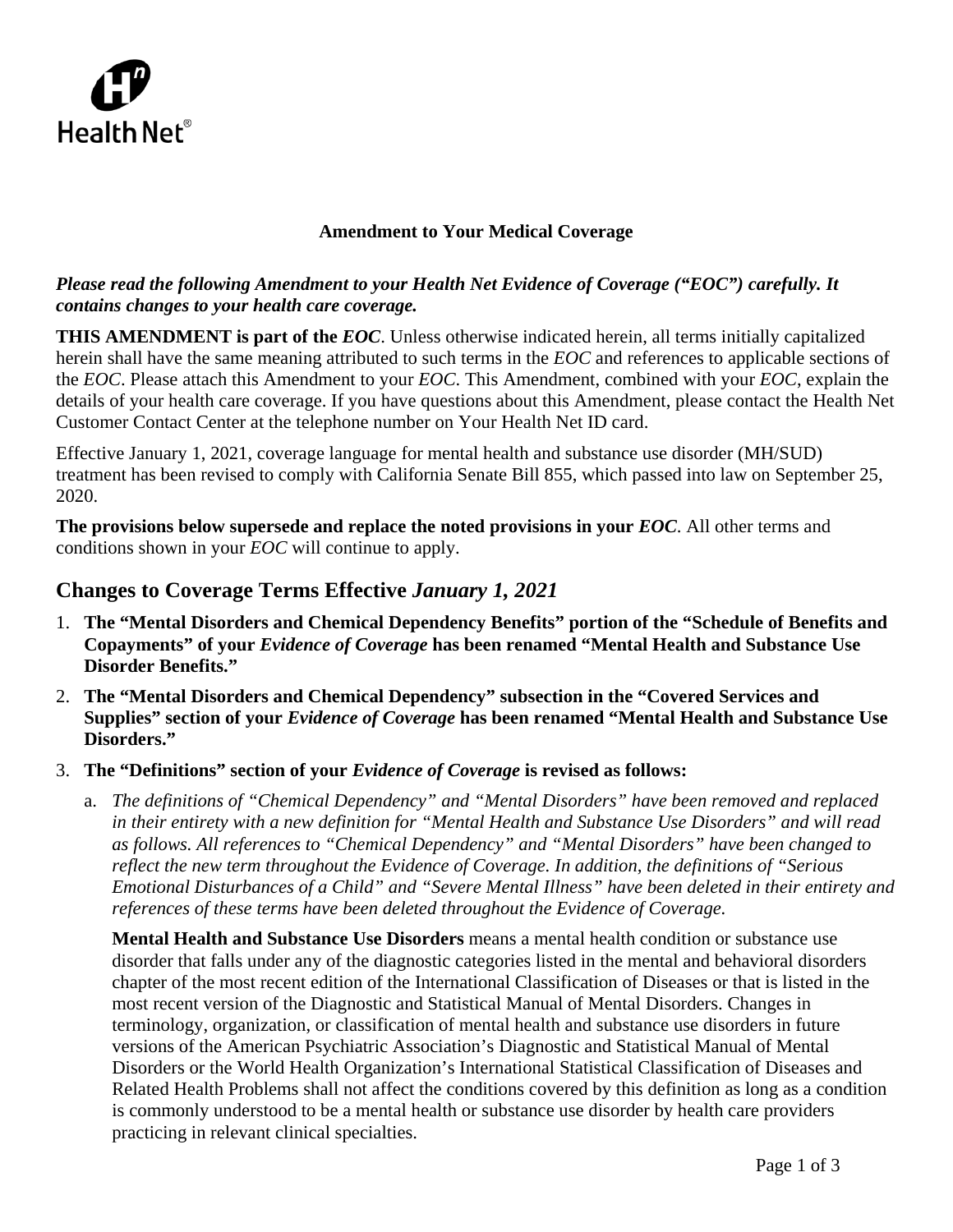

### **Amendment to Your Medical Coverage**

### *Please read the following Amendment to your Health Net Evidence of Coverage ("EOC") carefully. It contains changes to your health care coverage.*

**THIS AMENDMENT is part of the** *EOC*. Unless otherwise indicated herein, all terms initially capitalized herein shall have the same meaning attributed to such terms in the *EOC* and references to applicable sections of the *EOC*. Please attach this Amendment to your *EOC*. This Amendment, combined with your *EOC*, explain the details of your health care coverage. If you have questions about this Amendment, please contact the Health Net Customer Contact Center at the telephone number on Your Health Net ID card.

Effective January 1, 2021, coverage language for mental health and substance use disorder (MH/SUD) treatment has been revised to comply with California Senate Bill 855, which passed into law on September 25, 2020.

**The provisions below supersede and replace the noted provisions in your** *EOC*. All other terms and conditions shown in your *EOC* will continue to apply.

# **Changes to Coverage Terms Effective** *January 1, 2021*

- 1. **The "Mental Disorders and Chemical Dependency Benefits" portion of the "Schedule of Benefits and Copayments" of your** *Evidence of Coverage* **has been renamed "Mental Health and Substance Use Disorder Benefits."**
- 2. **The "Mental Disorders and Chemical Dependency" subsection in the "Covered Services and Supplies" section of your** *Evidence of Coverage* **has been renamed "Mental Health and Substance Use Disorders."**
- 3. **The "Definitions" section of your** *Evidence of Coverage* **is revised as follows:**
	- a. *The definitions of "Chemical Dependency" and "Mental Disorders" have been removed and replaced in their entirety with a new definition for "Mental Health and Substance Use Disorders" and will read as follows. All references to "Chemical Dependency" and "Mental Disorders" have been changed to reflect the new term throughout the Evidence of Coverage. In addition, the definitions of "Serious Emotional Disturbances of a Child" and "Severe Mental Illness" have been deleted in their entirety and references of these terms have been deleted throughout the Evidence of Coverage.*

**Mental Health and Substance Use Disorders** means a mental health condition or substance use disorder that falls under any of the diagnostic categories listed in the mental and behavioral disorders chapter of the most recent edition of the International Classification of Diseases or that is listed in the most recent version of the Diagnostic and Statistical Manual of Mental Disorders. Changes in terminology, organization, or classification of mental health and substance use disorders in future versions of the American Psychiatric Association's Diagnostic and Statistical Manual of Mental Disorders or the World Health Organization's International Statistical Classification of Diseases and Related Health Problems shall not affect the conditions covered by this definition as long as a condition is commonly understood to be a mental health or substance use disorder by health care providers practicing in relevant clinical specialties.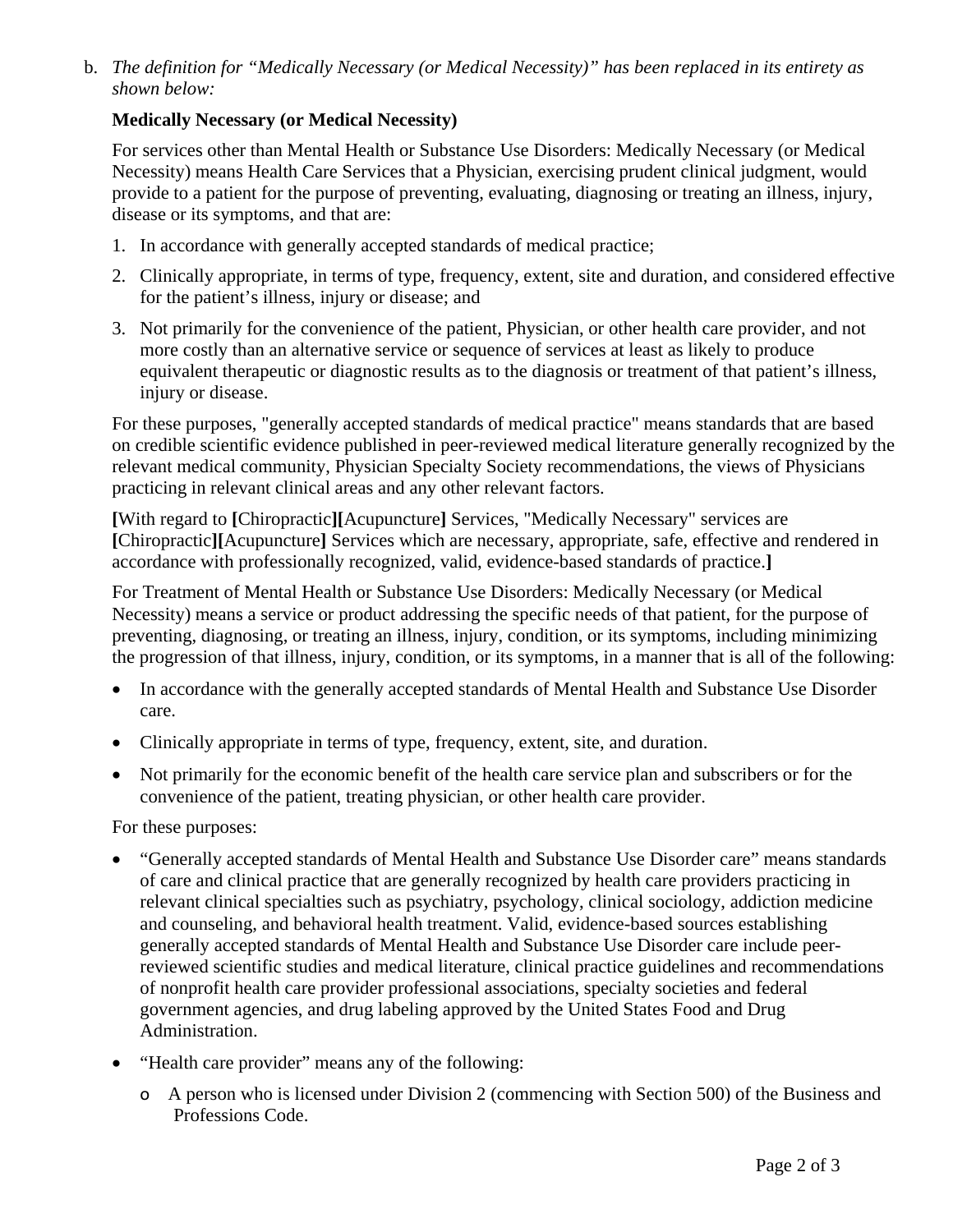b. *The definition for "Medically Necessary (or Medical Necessity)" has been replaced in its entirety as shown below:*

## **Medically Necessary (or Medical Necessity)**

For services other than Mental Health or Substance Use Disorders: Medically Necessary (or Medical Necessity) means Health Care Services that a Physician, exercising prudent clinical judgment, would provide to a patient for the purpose of preventing, evaluating, diagnosing or treating an illness, injury, disease or its symptoms, and that are:

- 1. In accordance with generally accepted standards of medical practice;
- 2. Clinically appropriate, in terms of type, frequency, extent, site and duration, and considered effective for the patient's illness, injury or disease; and
- 3. Not primarily for the convenience of the patient, Physician, or other health care provider, and not more costly than an alternative service or sequence of services at least as likely to produce equivalent therapeutic or diagnostic results as to the diagnosis or treatment of that patient's illness, injury or disease.

For these purposes, "generally accepted standards of medical practice" means standards that are based on credible scientific evidence published in peer-reviewed medical literature generally recognized by the relevant medical community, Physician Specialty Society recommendations, the views of Physicians practicing in relevant clinical areas and any other relevant factors.

**[**With regard to **[**Chiropractic**][**Acupuncture**]** Services, "Medically Necessary" services are **[**Chiropractic**][**Acupuncture**]** Services which are necessary, appropriate, safe, effective and rendered in accordance with professionally recognized, valid, evidence-based standards of practice.**]**

For Treatment of Mental Health or Substance Use Disorders: Medically Necessary (or Medical Necessity) means a service or product addressing the specific needs of that patient, for the purpose of preventing, diagnosing, or treating an illness, injury, condition, or its symptoms, including minimizing the progression of that illness, injury, condition, or its symptoms, in a manner that is all of the following:

- In accordance with the generally accepted standards of Mental Health and Substance Use Disorder care.
- Clinically appropriate in terms of type, frequency, extent, site, and duration.
- Not primarily for the economic benefit of the health care service plan and subscribers or for the convenience of the patient, treating physician, or other health care provider.

For these purposes:

- "Generally accepted standards of Mental Health and Substance Use Disorder care" means standards of care and clinical practice that are generally recognized by health care providers practicing in relevant clinical specialties such as psychiatry, psychology, clinical sociology, addiction medicine and counseling, and behavioral health treatment. Valid, evidence-based sources establishing generally accepted standards of Mental Health and Substance Use Disorder care include peerreviewed scientific studies and medical literature, clinical practice guidelines and recommendations of nonprofit health care provider professional associations, specialty societies and federal government agencies, and drug labeling approved by the United States Food and Drug Administration.
- "Health care provider" means any of the following:
	- ο A person who is licensed under Division 2 (commencing with Section 500) of the Business and Professions Code.